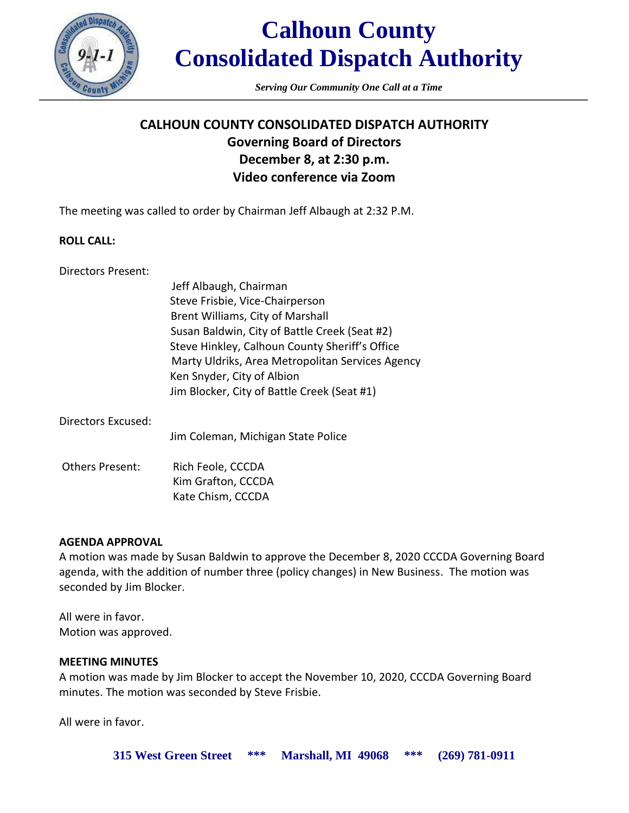

# **Calhoun County Consolidated Dispatch Authority**

*Serving Our Community One Call at a Time*

## **CALHOUN COUNTY CONSOLIDATED DISPATCH AUTHORITY Governing Board of Directors December 8, at 2:30 p.m. Video conference via Zoom**

The meeting was called to order by Chairman Jeff Albaugh at 2:32 P.M.

### **ROLL CALL:**

Directors Present:

Jeff Albaugh, Chairman Steve Frisbie, Vice-Chairperson Brent Williams, City of Marshall Susan Baldwin, City of Battle Creek (Seat #2) Steve Hinkley, Calhoun County Sheriff's Office Marty Uldriks, Area Metropolitan Services Agency Ken Snyder, City of Albion Jim Blocker, City of Battle Creek (Seat #1)

Directors Excused:

Jim Coleman, Michigan State Police

Others Present: Rich Feole, CCCDA Kim Grafton, CCCDA Kate Chism, CCCDA

### **AGENDA APPROVAL**

A motion was made by Susan Baldwin to approve the December 8, 2020 CCCDA Governing Board agenda, with the addition of number three (policy changes) in New Business. The motion was seconded by Jim Blocker.

All were in favor. Motion was approved.

#### **MEETING MINUTES**

A motion was made by Jim Blocker to accept the November 10, 2020, CCCDA Governing Board minutes. The motion was seconded by Steve Frisbie.

All were in favor.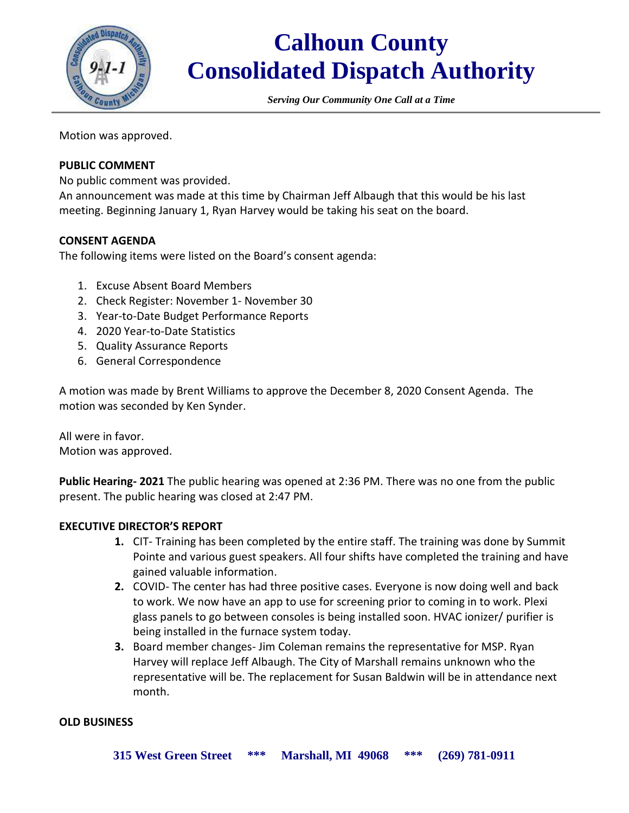

# **Calhoun County Consolidated Dispatch Authority**

*Serving Our Community One Call at a Time*

Motion was approved.

### **PUBLIC COMMENT**

No public comment was provided.

An announcement was made at this time by Chairman Jeff Albaugh that this would be his last meeting. Beginning January 1, Ryan Harvey would be taking his seat on the board.

#### **CONSENT AGENDA**

The following items were listed on the Board's consent agenda:

- 1. Excuse Absent Board Members
- 2. Check Register: November 1- November 30
- 3. Year-to-Date Budget Performance Reports
- 4. 2020 Year-to-Date Statistics
- 5. Quality Assurance Reports
- 6. General Correspondence

A motion was made by Brent Williams to approve the December 8, 2020 Consent Agenda. The motion was seconded by Ken Synder.

All were in favor. Motion was approved.

**Public Hearing- 2021** The public hearing was opened at 2:36 PM. There was no one from the public present. The public hearing was closed at 2:47 PM.

#### **EXECUTIVE DIRECTOR'S REPORT**

- **1.** CIT- Training has been completed by the entire staff. The training was done by Summit Pointe and various guest speakers. All four shifts have completed the training and have gained valuable information.
- **2.** COVID- The center has had three positive cases. Everyone is now doing well and back to work. We now have an app to use for screening prior to coming in to work. Plexi glass panels to go between consoles is being installed soon. HVAC ionizer/ purifier is being installed in the furnace system today.
- **3.** Board member changes- Jim Coleman remains the representative for MSP. Ryan Harvey will replace Jeff Albaugh. The City of Marshall remains unknown who the representative will be. The replacement for Susan Baldwin will be in attendance next month.

#### **OLD BUSINESS**